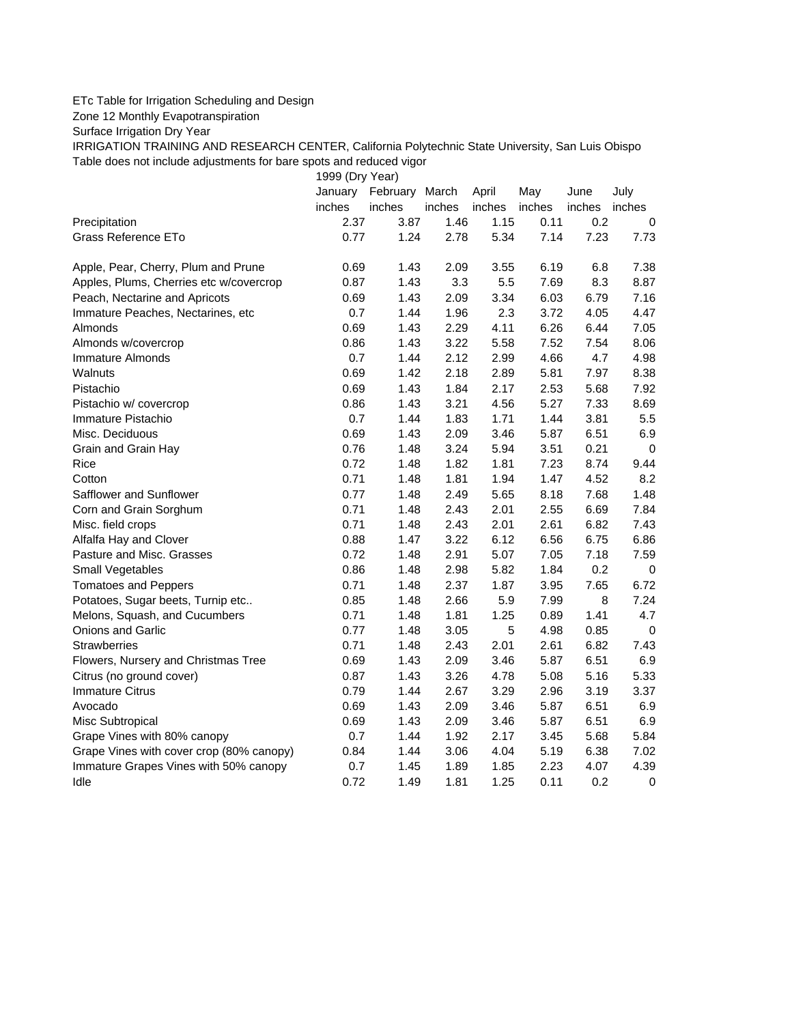## ETc Table for Irrigation Scheduling and Design

Zone 12 Monthly Evapotranspiration

Surface Irrigation Dry Year

IRRIGATION TRAINING AND RESEARCH CENTER, California Polytechnic State University, San Luis Obispo Table does not include adjustments for bare spots and reduced vigor

1999 (Dry Year)

|                                          | January | February | March  | April  | May    | June   | July        |
|------------------------------------------|---------|----------|--------|--------|--------|--------|-------------|
|                                          | inches  | inches   | inches | inches | inches | inches | inches      |
| Precipitation                            | 2.37    | 3.87     | 1.46   | 1.15   | 0.11   | 0.2    | 0           |
| Grass Reference ETo                      | 0.77    | 1.24     | 2.78   | 5.34   | 7.14   | 7.23   | 7.73        |
| Apple, Pear, Cherry, Plum and Prune      | 0.69    | 1.43     | 2.09   | 3.55   | 6.19   | 6.8    | 7.38        |
| Apples, Plums, Cherries etc w/covercrop  | 0.87    | 1.43     | 3.3    | 5.5    | 7.69   | 8.3    | 8.87        |
| Peach, Nectarine and Apricots            | 0.69    | 1.43     | 2.09   | 3.34   | 6.03   | 6.79   | 7.16        |
| Immature Peaches, Nectarines, etc        | 0.7     | 1.44     | 1.96   | 2.3    | 3.72   | 4.05   | 4.47        |
| Almonds                                  | 0.69    | 1.43     | 2.29   | 4.11   | 6.26   | 6.44   | 7.05        |
| Almonds w/covercrop                      | 0.86    | 1.43     | 3.22   | 5.58   | 7.52   | 7.54   | 8.06        |
| <b>Immature Almonds</b>                  | 0.7     | 1.44     | 2.12   | 2.99   | 4.66   | 4.7    | 4.98        |
| Walnuts                                  | 0.69    | 1.42     | 2.18   | 2.89   | 5.81   | 7.97   | 8.38        |
| Pistachio                                | 0.69    | 1.43     | 1.84   | 2.17   | 2.53   | 5.68   | 7.92        |
| Pistachio w/ covercrop                   | 0.86    | 1.43     | 3.21   | 4.56   | 5.27   | 7.33   | 8.69        |
| Immature Pistachio                       | 0.7     | 1.44     | 1.83   | 1.71   | 1.44   | 3.81   | 5.5         |
| Misc. Deciduous                          | 0.69    | 1.43     | 2.09   | 3.46   | 5.87   | 6.51   | 6.9         |
| Grain and Grain Hay                      | 0.76    | 1.48     | 3.24   | 5.94   | 3.51   | 0.21   | $\mathbf 0$ |
| Rice                                     | 0.72    | 1.48     | 1.82   | 1.81   | 7.23   | 8.74   | 9.44        |
| Cotton                                   | 0.71    | 1.48     | 1.81   | 1.94   | 1.47   | 4.52   | 8.2         |
| Safflower and Sunflower                  | 0.77    | 1.48     | 2.49   | 5.65   | 8.18   | 7.68   | 1.48        |
| Corn and Grain Sorghum                   | 0.71    | 1.48     | 2.43   | 2.01   | 2.55   | 6.69   | 7.84        |
| Misc. field crops                        | 0.71    | 1.48     | 2.43   | 2.01   | 2.61   | 6.82   | 7.43        |
| Alfalfa Hay and Clover                   | 0.88    | 1.47     | 3.22   | 6.12   | 6.56   | 6.75   | 6.86        |
| Pasture and Misc. Grasses                | 0.72    | 1.48     | 2.91   | 5.07   | 7.05   | 7.18   | 7.59        |
| Small Vegetables                         | 0.86    | 1.48     | 2.98   | 5.82   | 1.84   | 0.2    | $\mathbf 0$ |
| <b>Tomatoes and Peppers</b>              | 0.71    | 1.48     | 2.37   | 1.87   | 3.95   | 7.65   | 6.72        |
| Potatoes, Sugar beets, Turnip etc        | 0.85    | 1.48     | 2.66   | 5.9    | 7.99   | 8      | 7.24        |
| Melons, Squash, and Cucumbers            | 0.71    | 1.48     | 1.81   | 1.25   | 0.89   | 1.41   | 4.7         |
| Onions and Garlic                        | 0.77    | 1.48     | 3.05   | 5      | 4.98   | 0.85   | $\mathbf 0$ |
| Strawberries                             | 0.71    | 1.48     | 2.43   | 2.01   | 2.61   | 6.82   | 7.43        |
| Flowers, Nursery and Christmas Tree      | 0.69    | 1.43     | 2.09   | 3.46   | 5.87   | 6.51   | 6.9         |
| Citrus (no ground cover)                 | 0.87    | 1.43     | 3.26   | 4.78   | 5.08   | 5.16   | 5.33        |
| <b>Immature Citrus</b>                   | 0.79    | 1.44     | 2.67   | 3.29   | 2.96   | 3.19   | 3.37        |
| Avocado                                  | 0.69    | 1.43     | 2.09   | 3.46   | 5.87   | 6.51   | 6.9         |
| Misc Subtropical                         | 0.69    | 1.43     | 2.09   | 3.46   | 5.87   | 6.51   | 6.9         |
| Grape Vines with 80% canopy              | 0.7     | 1.44     | 1.92   | 2.17   | 3.45   | 5.68   | 5.84        |
| Grape Vines with cover crop (80% canopy) | 0.84    | 1.44     | 3.06   | 4.04   | 5.19   | 6.38   | 7.02        |
| Immature Grapes Vines with 50% canopy    | 0.7     | 1.45     | 1.89   | 1.85   | 2.23   | 4.07   | 4.39        |
| Idle                                     | 0.72    | 1.49     | 1.81   | 1.25   | 0.11   | 0.2    | $\mathbf 0$ |